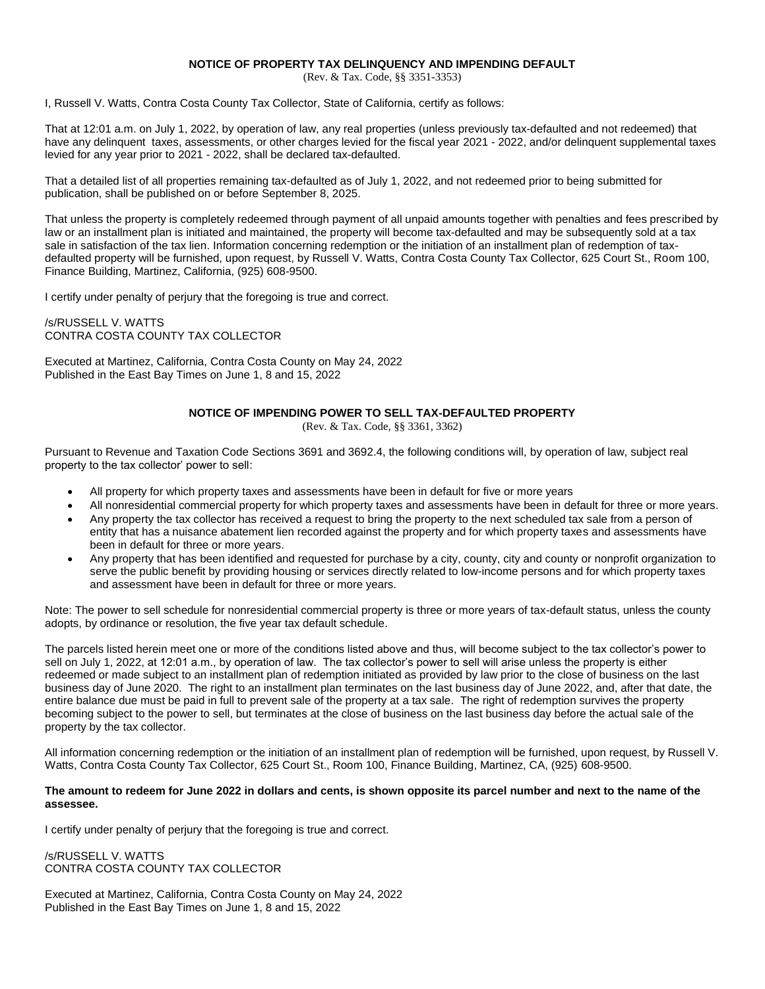### **NOTICE OF PROPERTY TAX DELINQUENCY AND IMPENDING DEFAULT**

(Rev. & Tax. Code, §§ 3351-3353)

I, Russell V. Watts, Contra Costa County Tax Collector, State of California, certify as follows:

That at 12:01 a.m. on July 1, 2022, by operation of law, any real properties (unless previously tax-defaulted and not redeemed) that have any delinquent taxes, assessments, or other charges levied for the fiscal year 2021 - 2022, and/or delinquent supplemental taxes levied for any year prior to 2021 - 2022, shall be declared tax-defaulted.

That a detailed list of all properties remaining tax-defaulted as of July 1, 2022, and not redeemed prior to being submitted for publication, shall be published on or before September 8, 2025.

That unless the property is completely redeemed through payment of all unpaid amounts together with penalties and fees prescribed by law or an installment plan is initiated and maintained, the property will become tax-defaulted and may be subsequently sold at a tax sale in satisfaction of the tax lien. Information concerning redemption or the initiation of an installment plan of redemption of taxdefaulted property will be furnished, upon request, by Russell V. Watts, Contra Costa County Tax Collector, 625 Court St., Room 100, Finance Building, Martinez, California, (925) 608-9500.

I certify under penalty of perjury that the foregoing is true and correct.

/s/RUSSELL V. WATTS CONTRA COSTA COUNTY TAX COLLECTOR

Executed at Martinez, California, Contra Costa County on May 24, 2022 Published in the East Bay Times on June 1, 8 and 15, 2022

## **NOTICE OF IMPENDING POWER TO SELL TAX-DEFAULTED PROPERTY**

(Rev. & Tax. Code, §§ 3361, 3362)

Pursuant to Revenue and Taxation Code Sections 3691 and 3692.4, the following conditions will, by operation of law, subject real property to the tax collector' power to sell:

- All property for which property taxes and assessments have been in default for five or more years
- All nonresidential commercial property for which property taxes and assessments have been in default for three or more years.
- Any property the tax collector has received a request to bring the property to the next scheduled tax sale from a person of entity that has a nuisance abatement lien recorded against the property and for which property taxes and assessments have been in default for three or more years.
- Any property that has been identified and requested for purchase by a city, county, city and county or nonprofit organization to serve the public benefit by providing housing or services directly related to low-income persons and for which property taxes and assessment have been in default for three or more years.

Note: The power to sell schedule for nonresidential commercial property is three or more years of tax-default status, unless the county adopts, by ordinance or resolution, the five year tax default schedule.

The parcels listed herein meet one or more of the conditions listed above and thus, will become subject to the tax collector's power to sell on July 1, 2022, at 12:01 a.m., by operation of law. The tax collector's power to sell will arise unless the property is either redeemed or made subject to an installment plan of redemption initiated as provided by law prior to the close of business on the last business day of June 2020. The right to an installment plan terminates on the last business day of June 2022, and, after that date, the entire balance due must be paid in full to prevent sale of the property at a tax sale. The right of redemption survives the property becoming subject to the power to sell, but terminates at the close of business on the last business day before the actual sale of the property by the tax collector.

All information concerning redemption or the initiation of an installment plan of redemption will be furnished, upon request, by Russell V. Watts, Contra Costa County Tax Collector, 625 Court St., Room 100, Finance Building, Martinez, CA, (925) 608-9500.

#### **The amount to redeem for June 2022 in dollars and cents, is shown opposite its parcel number and next to the name of the assessee.**

I certify under penalty of perjury that the foregoing is true and correct.

/s/RUSSELL V. WATTS CONTRA COSTA COUNTY TAX COLLECTOR

Executed at Martinez, California, Contra Costa County on May 24, 2022 Published in the East Bay Times on June 1, 8 and 15, 2022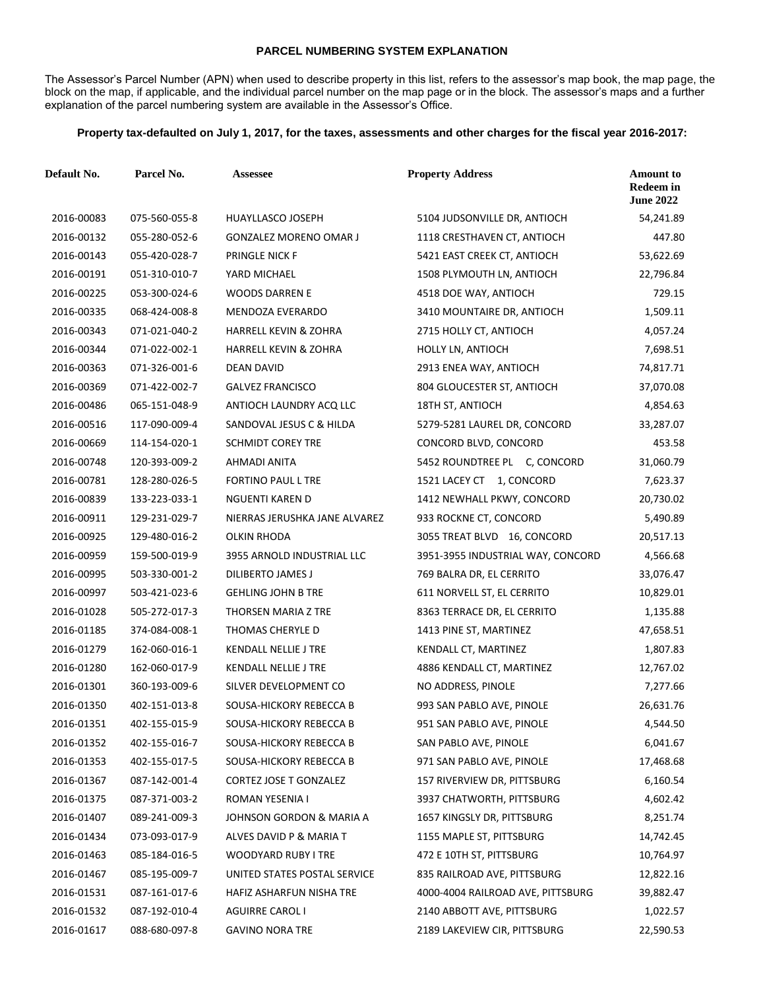# **PARCEL NUMBERING SYSTEM EXPLANATION**

The Assessor's Parcel Number (APN) when used to describe property in this list, refers to the assessor's map book, the map page, the block on the map, if applicable, and the individual parcel number on the map page or in the block. The assessor's maps and a further explanation of the parcel numbering system are available in the Assessor's Office.

# **Property tax-defaulted on July 1, 2017, for the taxes, assessments and other charges for the fiscal year 2016-2017:**

| <b>Default No.</b> | Parcel No.    | <b>Assessee</b>                  | <b>Property Address</b>           | <b>Amount to</b><br><b>Redeem in</b><br><b>June 2022</b> |
|--------------------|---------------|----------------------------------|-----------------------------------|----------------------------------------------------------|
| 2016-00083         | 075-560-055-8 | HUAYLLASCO JOSEPH                | 5104 JUDSONVILLE DR, ANTIOCH      | 54,241.89                                                |
| 2016-00132         | 055-280-052-6 | <b>GONZALEZ MORENO OMAR J</b>    | 1118 CRESTHAVEN CT, ANTIOCH       | 447.80                                                   |
| 2016-00143         | 055-420-028-7 | <b>PRINGLE NICK F</b>            | 5421 EAST CREEK CT, ANTIOCH       | 53,622.69                                                |
| 2016-00191         | 051-310-010-7 | YARD MICHAEL                     | 1508 PLYMOUTH LN, ANTIOCH         | 22,796.84                                                |
| 2016-00225         | 053-300-024-6 | <b>WOODS DARREN E</b>            | 4518 DOE WAY, ANTIOCH             | 729.15                                                   |
| 2016-00335         | 068-424-008-8 | <b>MENDOZA EVERARDO</b>          | 3410 MOUNTAIRE DR, ANTIOCH        | 1,509.11                                                 |
| 2016-00343         | 071-021-040-2 | <b>HARRELL KEVIN &amp; ZOHRA</b> | 2715 HOLLY CT, ANTIOCH            | 4,057.24                                                 |
| 2016-00344         | 071-022-002-1 | <b>HARRELL KEVIN &amp; ZOHRA</b> | <b>HOLLY LN, ANTIOCH</b>          | 7,698.51                                                 |
| 2016-00363         | 071-326-001-6 | <b>DEAN DAVID</b>                | 2913 ENEA WAY, ANTIOCH            | 74,817.71                                                |
| 2016-00369         | 071-422-002-7 | <b>GALVEZ FRANCISCO</b>          | 804 GLOUCESTER ST, ANTIOCH        | 37,070.08                                                |
| 2016-00486         | 065-151-048-9 | ANTIOCH LAUNDRY ACQ LLC          | 18TH ST, ANTIOCH                  | 4,854.63                                                 |
| 2016-00516         | 117-090-009-4 | SANDOVAL JESUS C & HILDA         | 5279-5281 LAUREL DR, CONCORD      | 33,287.07                                                |
| 2016-00669         | 114-154-020-1 | <b>SCHMIDT COREY TRE</b>         | CONCORD BLVD, CONCORD             | 453.58                                                   |
| 2016-00748         | 120-393-009-2 | AHMADI ANITA                     | 5452 ROUNDTREE PL C, CONCORD      | 31,060.79                                                |
| 2016-00781         | 128-280-026-5 | FORTINO PAUL L TRE               | 1521 LACEY CT 1, CONCORD          | 7,623.37                                                 |
| 2016-00839         | 133-223-033-1 | NGUENTI KAREN D                  | 1412 NEWHALL PKWY, CONCORD        | 20,730.02                                                |
| 2016-00911         | 129-231-029-7 | NIERRAS JERUSHKA JANE ALVAREZ    | 933 ROCKNE CT, CONCORD            | 5,490.89                                                 |
| 2016-00925         | 129-480-016-2 | OLKIN RHODA                      | 3055 TREAT BLVD 16, CONCORD       | 20,517.13                                                |
| 2016-00959         | 159-500-019-9 | 3955 ARNOLD INDUSTRIAL LLC       | 3951-3955 INDUSTRIAL WAY, CONCORD | 4,566.68                                                 |
| 2016-00995         | 503-330-001-2 | DILIBERTO JAMES J                | 769 BALRA DR, EL CERRITO          | 33,076.47                                                |
| 2016-00997         | 503-421-023-6 | <b>GEHLING JOHN B TRE</b>        | 611 NORVELL ST, EL CERRITO        | 10,829.01                                                |
| 2016-01028         | 505-272-017-3 | THORSEN MARIA Z TRE              | 8363 TERRACE DR, EL CERRITO       | 1,135.88                                                 |
| 2016-01185         | 374-084-008-1 | THOMAS CHERYLE D                 | 1413 PINE ST, MARTINEZ            | 47,658.51                                                |
| 2016-01279         | 162-060-016-1 | <b>KENDALL NELLIE J TRE</b>      | KENDALL CT, MARTINEZ              | 1,807.83                                                 |
| 2016-01280         | 162-060-017-9 | <b>KENDALL NELLIE J TRE</b>      | 4886 KENDALL CT, MARTINEZ         | 12,767.02                                                |
| 2016-01301         | 360-193-009-6 | SILVER DEVELOPMENT CO            | NO ADDRESS, PINOLE                | 7,277.66                                                 |
| 2016-01350         | 402-151-013-8 | SOUSA-HICKORY REBECCA B          | 993 SAN PABLO AVE, PINOLE         | 26,631.76                                                |
| 2016-01351         | 402-155-015-9 | SOUSA-HICKORY REBECCA B          | 951 SAN PABLO AVE, PINOLE         | 4,544.50                                                 |
| 2016-01352         | 402-155-016-7 | SOUSA-HICKORY REBECCA B          | SAN PABLO AVE, PINOLE             | 6,041.67                                                 |
| 2016-01353         | 402-155-017-5 | SOUSA-HICKORY REBECCA B          | 971 SAN PABLO AVE, PINOLE         | 17,468.68                                                |
| 2016-01367         | 087-142-001-4 | CORTEZ JOSE T GONZALEZ           | 157 RIVERVIEW DR, PITTSBURG       | 6,160.54                                                 |
| 2016-01375         | 087-371-003-2 | ROMAN YESENIA I                  | 3937 CHATWORTH, PITTSBURG         | 4,602.42                                                 |
| 2016-01407         | 089-241-009-3 | JOHNSON GORDON & MARIA A         | 1657 KINGSLY DR, PITTSBURG        | 8,251.74                                                 |
| 2016-01434         | 073-093-017-9 | ALVES DAVID P & MARIA T          | 1155 MAPLE ST, PITTSBURG          | 14,742.45                                                |
| 2016-01463         | 085-184-016-5 | WOODYARD RUBY I TRE              | 472 E 10TH ST, PITTSBURG          | 10,764.97                                                |
| 2016-01467         | 085-195-009-7 | UNITED STATES POSTAL SERVICE     | 835 RAILROAD AVE, PITTSBURG       | 12,822.16                                                |
| 2016-01531         | 087-161-017-6 | HAFIZ ASHARFUN NISHA TRE         | 4000-4004 RAILROAD AVE, PITTSBURG | 39,882.47                                                |
| 2016-01532         | 087-192-010-4 | <b>AGUIRRE CAROL I</b>           | 2140 ABBOTT AVE, PITTSBURG        | 1,022.57                                                 |
| 2016-01617         | 088-680-097-8 | <b>GAVINO NORA TRE</b>           | 2189 LAKEVIEW CIR, PITTSBURG      | 22,590.53                                                |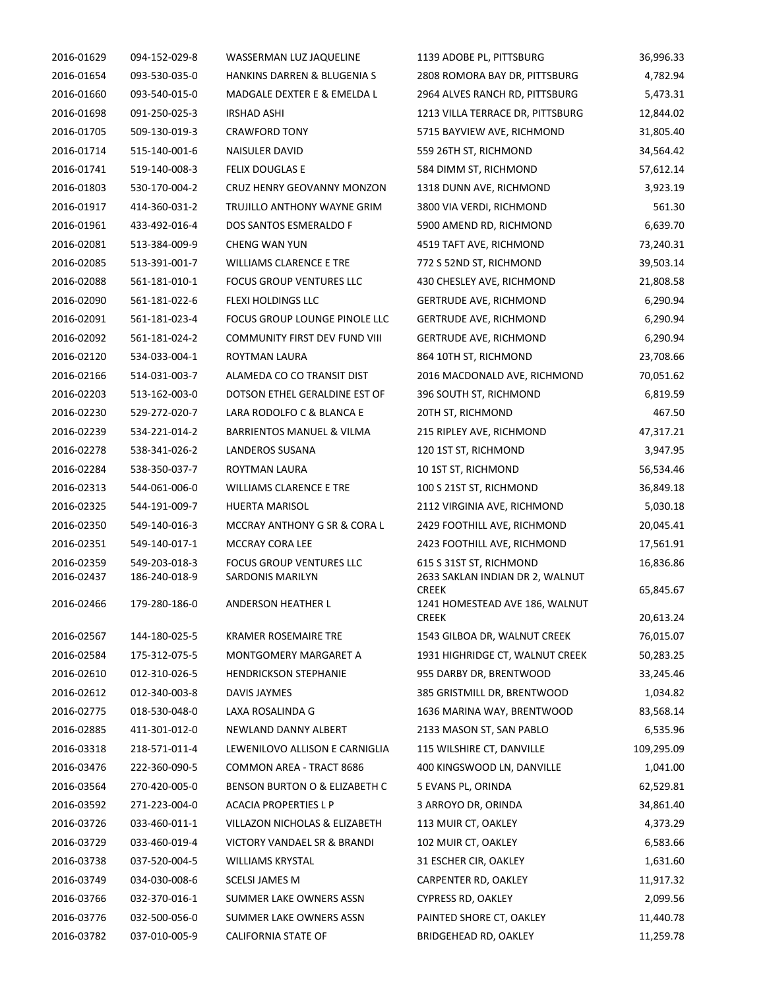| 2016-01629 | 094-152-029-8 | WASSERMAN LUZ JAQUELINE              | 1139 ADOBE PL, PITTSBURG                        | 36,996.33  |
|------------|---------------|--------------------------------------|-------------------------------------------------|------------|
| 2016-01654 | 093-530-035-0 | HANKINS DARREN & BLUGENIA S          | 2808 ROMORA BAY DR, PITTSBURG                   | 4,782.94   |
| 2016-01660 | 093-540-015-0 | MADGALE DEXTER E & EMELDA L          | 2964 ALVES RANCH RD, PITTSBURG                  | 5,473.31   |
| 2016-01698 | 091-250-025-3 | <b>IRSHAD ASHI</b>                   | 1213 VILLA TERRACE DR, PITTSBURG                | 12,844.02  |
| 2016-01705 | 509-130-019-3 | <b>CRAWFORD TONY</b>                 | 5715 BAYVIEW AVE, RICHMOND                      | 31,805.40  |
| 2016-01714 | 515-140-001-6 | NAISULER DAVID                       | 559 26TH ST, RICHMOND                           | 34,564.42  |
| 2016-01741 | 519-140-008-3 | FELIX DOUGLAS E                      | 584 DIMM ST, RICHMOND                           | 57,612.14  |
| 2016-01803 | 530-170-004-2 | CRUZ HENRY GEOVANNY MONZON           | 1318 DUNN AVE, RICHMOND                         | 3,923.19   |
| 2016-01917 | 414-360-031-2 | TRUJILLO ANTHONY WAYNE GRIM          | 3800 VIA VERDI, RICHMOND                        | 561.30     |
| 2016-01961 | 433-492-016-4 | DOS SANTOS ESMERALDO F               | 5900 AMEND RD, RICHMOND                         | 6,639.70   |
| 2016-02081 | 513-384-009-9 | CHENG WAN YUN                        | 4519 TAFT AVE, RICHMOND                         | 73,240.31  |
| 2016-02085 | 513-391-001-7 | <b>WILLIAMS CLARENCE E TRE</b>       | 772 S 52ND ST, RICHMOND                         | 39,503.14  |
| 2016-02088 | 561-181-010-1 | <b>FOCUS GROUP VENTURES LLC</b>      | 430 CHESLEY AVE, RICHMOND                       | 21,808.58  |
| 2016-02090 | 561-181-022-6 | FLEXI HOLDINGS LLC                   | <b>GERTRUDE AVE, RICHMOND</b>                   | 6,290.94   |
| 2016-02091 | 561-181-023-4 | FOCUS GROUP LOUNGE PINOLE LLC        | <b>GERTRUDE AVE, RICHMOND</b>                   | 6,290.94   |
| 2016-02092 | 561-181-024-2 | COMMUNITY FIRST DEV FUND VIII        |                                                 |            |
|            |               |                                      | <b>GERTRUDE AVE, RICHMOND</b>                   | 6,290.94   |
| 2016-02120 | 534-033-004-1 | ROYTMAN LAURA                        | 864 10TH ST, RICHMOND                           | 23,708.66  |
| 2016-02166 | 514-031-003-7 | ALAMEDA CO CO TRANSIT DIST           | 2016 MACDONALD AVE, RICHMOND                    | 70,051.62  |
| 2016-02203 | 513-162-003-0 | DOTSON ETHEL GERALDINE EST OF        | 396 SOUTH ST, RICHMOND                          | 6,819.59   |
| 2016-02230 | 529-272-020-7 | LARA RODOLFO C & BLANCA E            | 20TH ST, RICHMOND                               | 467.50     |
| 2016-02239 | 534-221-014-2 | <b>BARRIENTOS MANUEL &amp; VILMA</b> | 215 RIPLEY AVE, RICHMOND                        | 47,317.21  |
| 2016-02278 | 538-341-026-2 | LANDEROS SUSANA                      | 120 1ST ST, RICHMOND                            | 3,947.95   |
| 2016-02284 | 538-350-037-7 | ROYTMAN LAURA                        | 10 1ST ST, RICHMOND                             | 56,534.46  |
| 2016-02313 | 544-061-006-0 | <b>WILLIAMS CLARENCE E TRE</b>       | 100 S 21ST ST, RICHMOND                         | 36,849.18  |
| 2016-02325 | 544-191-009-7 | <b>HUERTA MARISOL</b>                | 2112 VIRGINIA AVE, RICHMOND                     | 5,030.18   |
| 2016-02350 | 549-140-016-3 | MCCRAY ANTHONY G SR & CORA L         | 2429 FOOTHILL AVE, RICHMOND                     | 20,045.41  |
| 2016-02351 | 549-140-017-1 | MCCRAY CORA LEE                      | 2423 FOOTHILL AVE, RICHMOND                     | 17,561.91  |
| 2016-02359 | 549-203-018-3 | <b>FOCUS GROUP VENTURES LLC</b>      | 615 S 31ST ST, RICHMOND                         | 16,836.86  |
| 2016-02437 | 186-240-018-9 | SARDONIS MARILYN                     | 2633 SAKLAN INDIAN DR 2, WALNUT<br><b>CREEK</b> | 65,845.67  |
| 2016-02466 | 179-280-186-0 | ANDERSON HEATHER L                   | 1241 HOMESTEAD AVE 186, WALNUT                  |            |
|            |               |                                      | <b>CREEK</b>                                    | 20,613.24  |
| 2016-02567 | 144-180-025-5 | <b>KRAMER ROSEMAIRE TRE</b>          | 1543 GILBOA DR, WALNUT CREEK                    | 76,015.07  |
| 2016-02584 | 175-312-075-5 | MONTGOMERY MARGARET A                | 1931 HIGHRIDGE CT, WALNUT CREEK                 | 50,283.25  |
| 2016-02610 | 012-310-026-5 | <b>HENDRICKSON STEPHANIE</b>         | 955 DARBY DR, BRENTWOOD                         | 33,245.46  |
| 2016-02612 | 012-340-003-8 | DAVIS JAYMES                         | 385 GRISTMILL DR, BRENTWOOD                     | 1,034.82   |
| 2016-02775 | 018-530-048-0 | LAXA ROSALINDA G                     | 1636 MARINA WAY, BRENTWOOD                      | 83,568.14  |
| 2016-02885 | 411-301-012-0 | NEWLAND DANNY ALBERT                 | 2133 MASON ST, SAN PABLO                        | 6,535.96   |
| 2016-03318 | 218-571-011-4 | LEWENILOVO ALLISON E CARNIGLIA       | 115 WILSHIRE CT, DANVILLE                       | 109,295.09 |
| 2016-03476 | 222-360-090-5 | COMMON AREA - TRACT 8686             | 400 KINGSWOOD LN, DANVILLE                      | 1,041.00   |
| 2016-03564 | 270-420-005-0 | BENSON BURTON O & ELIZABETH C        | 5 EVANS PL, ORINDA                              | 62,529.81  |
| 2016-03592 | 271-223-004-0 | ACACIA PROPERTIES L P                | 3 ARROYO DR, ORINDA                             | 34,861.40  |
| 2016-03726 | 033-460-011-1 | VILLAZON NICHOLAS & ELIZABETH        | 113 MUIR CT, OAKLEY                             | 4,373.29   |
| 2016-03729 | 033-460-019-4 | VICTORY VANDAEL SR & BRANDI          | 102 MUIR CT, OAKLEY                             | 6,583.66   |
| 2016-03738 | 037-520-004-5 | <b>WILLIAMS KRYSTAL</b>              | 31 ESCHER CIR, OAKLEY                           | 1,631.60   |
| 2016-03749 | 034-030-008-6 | <b>SCELSI JAMES M</b>                | CARPENTER RD, OAKLEY                            | 11,917.32  |
| 2016-03766 | 032-370-016-1 | SUMMER LAKE OWNERS ASSN              | <b>CYPRESS RD, OAKLEY</b>                       | 2,099.56   |
| 2016-03776 | 032-500-056-0 | SUMMER LAKE OWNERS ASSN              | PAINTED SHORE CT, OAKLEY                        | 11,440.78  |
| 2016-03782 | 037-010-005-9 | <b>CALIFORNIA STATE OF</b>           | <b>BRIDGEHEAD RD, OAKLEY</b>                    | 11,259.78  |
|            |               |                                      |                                                 |            |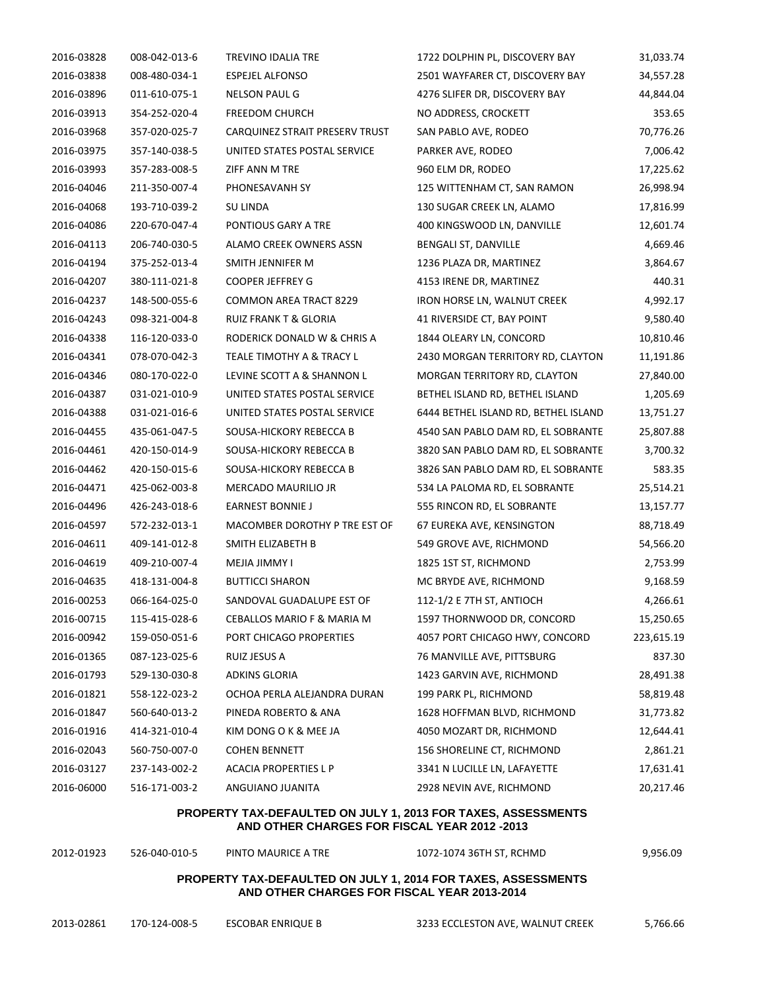| 2016-03828 | 008-042-013-6 | TREVINO IDALIA TRE               | 1722 DOLPHIN PL, DISCOVERY BAY       | 31,033.74  |
|------------|---------------|----------------------------------|--------------------------------------|------------|
| 2016-03838 | 008-480-034-1 | <b>ESPEJEL ALFONSO</b>           | 2501 WAYFARER CT, DISCOVERY BAY      | 34,557.28  |
| 2016-03896 | 011-610-075-1 | <b>NELSON PAUL G</b>             | 4276 SLIFER DR, DISCOVERY BAY        | 44,844.04  |
| 2016-03913 | 354-252-020-4 | <b>FREEDOM CHURCH</b>            | NO ADDRESS, CROCKETT                 | 353.65     |
| 2016-03968 | 357-020-025-7 | CARQUINEZ STRAIT PRESERV TRUST   | SAN PABLO AVE, RODEO                 | 70,776.26  |
| 2016-03975 | 357-140-038-5 | UNITED STATES POSTAL SERVICE     | PARKER AVE, RODEO                    | 7,006.42   |
| 2016-03993 | 357-283-008-5 | ZIFF ANN M TRE                   | 960 ELM DR, RODEO                    | 17,225.62  |
| 2016-04046 | 211-350-007-4 | PHONESAVANH SY                   | 125 WITTENHAM CT, SAN RAMON          | 26,998.94  |
| 2016-04068 | 193-710-039-2 | <b>SU LINDA</b>                  | 130 SUGAR CREEK LN, ALAMO            | 17,816.99  |
| 2016-04086 | 220-670-047-4 | PONTIOUS GARY A TRE              | 400 KINGSWOOD LN, DANVILLE           | 12,601.74  |
| 2016-04113 | 206-740-030-5 | ALAMO CREEK OWNERS ASSN          | BENGALI ST, DANVILLE                 | 4,669.46   |
| 2016-04194 | 375-252-013-4 | SMITH JENNIFER M                 | 1236 PLAZA DR, MARTINEZ              | 3,864.67   |
| 2016-04207 | 380-111-021-8 | <b>COOPER JEFFREY G</b>          | 4153 IRENE DR, MARTINEZ              | 440.31     |
| 2016-04237 | 148-500-055-6 | <b>COMMON AREA TRACT 8229</b>    | IRON HORSE LN, WALNUT CREEK          | 4,992.17   |
| 2016-04243 | 098-321-004-8 | <b>RUIZ FRANK T &amp; GLORIA</b> | 41 RIVERSIDE CT, BAY POINT           | 9,580.40   |
| 2016-04338 | 116-120-033-0 | RODERICK DONALD W & CHRIS A      | 1844 OLEARY LN, CONCORD              | 10,810.46  |
| 2016-04341 | 078-070-042-3 | TEALE TIMOTHY A & TRACY L        | 2430 MORGAN TERRITORY RD, CLAYTON    | 11,191.86  |
| 2016-04346 | 080-170-022-0 | LEVINE SCOTT A & SHANNON L       | MORGAN TERRITORY RD, CLAYTON         | 27,840.00  |
| 2016-04387 | 031-021-010-9 | UNITED STATES POSTAL SERVICE     | BETHEL ISLAND RD, BETHEL ISLAND      | 1,205.69   |
| 2016-04388 | 031-021-016-6 | UNITED STATES POSTAL SERVICE     | 6444 BETHEL ISLAND RD, BETHEL ISLAND | 13,751.27  |
| 2016-04455 | 435-061-047-5 | SOUSA-HICKORY REBECCA B          | 4540 SAN PABLO DAM RD, EL SOBRANTE   | 25,807.88  |
| 2016-04461 | 420-150-014-9 | SOUSA-HICKORY REBECCA B          | 3820 SAN PABLO DAM RD, EL SOBRANTE   | 3,700.32   |
| 2016-04462 | 420-150-015-6 | SOUSA-HICKORY REBECCA B          | 3826 SAN PABLO DAM RD, EL SOBRANTE   | 583.35     |
| 2016-04471 | 425-062-003-8 | MERCADO MAURILIO JR              | 534 LA PALOMA RD, EL SOBRANTE        | 25,514.21  |
| 2016-04496 | 426-243-018-6 | <b>EARNEST BONNIE J</b>          | 555 RINCON RD, EL SOBRANTE           | 13,157.77  |
| 2016-04597 | 572-232-013-1 | MACOMBER DOROTHY P TRE EST OF    | 67 EUREKA AVE, KENSINGTON            | 88,718.49  |
| 2016-04611 | 409-141-012-8 | SMITH ELIZABETH B                | 549 GROVE AVE, RICHMOND              | 54,566.20  |
| 2016-04619 | 409-210-007-4 | MEJIA JIMMY I                    | 1825 1ST ST, RICHMOND                | 2,753.99   |
| 2016-04635 | 418-131-004-8 | <b>BUTTICCI SHARON</b>           | MC BRYDE AVE, RICHMOND               | 9,168.59   |
| 2016-00253 | 066-164-025-0 | SANDOVAL GUADALUPE EST OF        | 112-1/2 E 7TH ST, ANTIOCH            | 4,266.61   |
| 2016-00715 | 115-415-028-6 | CEBALLOS MARIO F & MARIA M       | 1597 THORNWOOD DR, CONCORD           | 15,250.65  |
| 2016-00942 | 159-050-051-6 | PORT CHICAGO PROPERTIES          | 4057 PORT CHICAGO HWY, CONCORD       | 223,615.19 |
| 2016-01365 | 087-123-025-6 | RUIZ JESUS A                     | 76 MANVILLE AVE, PITTSBURG           | 837.30     |
| 2016-01793 | 529-130-030-8 | <b>ADKINS GLORIA</b>             | 1423 GARVIN AVE, RICHMOND            | 28,491.38  |
| 2016-01821 | 558-122-023-2 | OCHOA PERLA ALEJANDRA DURAN      | 199 PARK PL, RICHMOND                | 58,819.48  |
| 2016-01847 | 560-640-013-2 | PINEDA ROBERTO & ANA             | 1628 HOFFMAN BLVD, RICHMOND          | 31,773.82  |
| 2016-01916 | 414-321-010-4 | KIM DONG O K & MEE JA            | 4050 MOZART DR, RICHMOND             | 12,644.41  |
| 2016-02043 | 560-750-007-0 | <b>COHEN BENNETT</b>             | 156 SHORELINE CT, RICHMOND           | 2,861.21   |
| 2016-03127 | 237-143-002-2 | <b>ACACIA PROPERTIES L P</b>     | 3341 N LUCILLE LN, LAFAYETTE         | 17,631.41  |
| 2016-06000 | 516-171-003-2 | ANGUIANO JUANITA                 | 2928 NEVIN AVE, RICHMOND             | 20,217.46  |

### **PROPERTY TAX-DEFAULTED ON JULY 1, 2013 FOR TAXES, ASSESSMENTS AND OTHER CHARGES FOR FISCAL YEAR 2012 -2013**

| 2012-01923 | 526-040-010-5                                                                                                       | PINTO MAURICE A TRE | 1072-1074 36TH ST, RCHMD         | 9.956.09 |
|------------|---------------------------------------------------------------------------------------------------------------------|---------------------|----------------------------------|----------|
|            | <b>PROPERTY TAX-DEFAULTED ON JULY 1, 2014 FOR TAXES, ASSESSMENTS</b><br>AND OTHER CHARGES FOR FISCAL YEAR 2013-2014 |                     |                                  |          |
| 2013-02861 | 170-124-008-5                                                                                                       | ESCOBAR ENRIQUE B   | 3233 ECCLESTON AVE, WALNUT CREEK | 5,766.66 |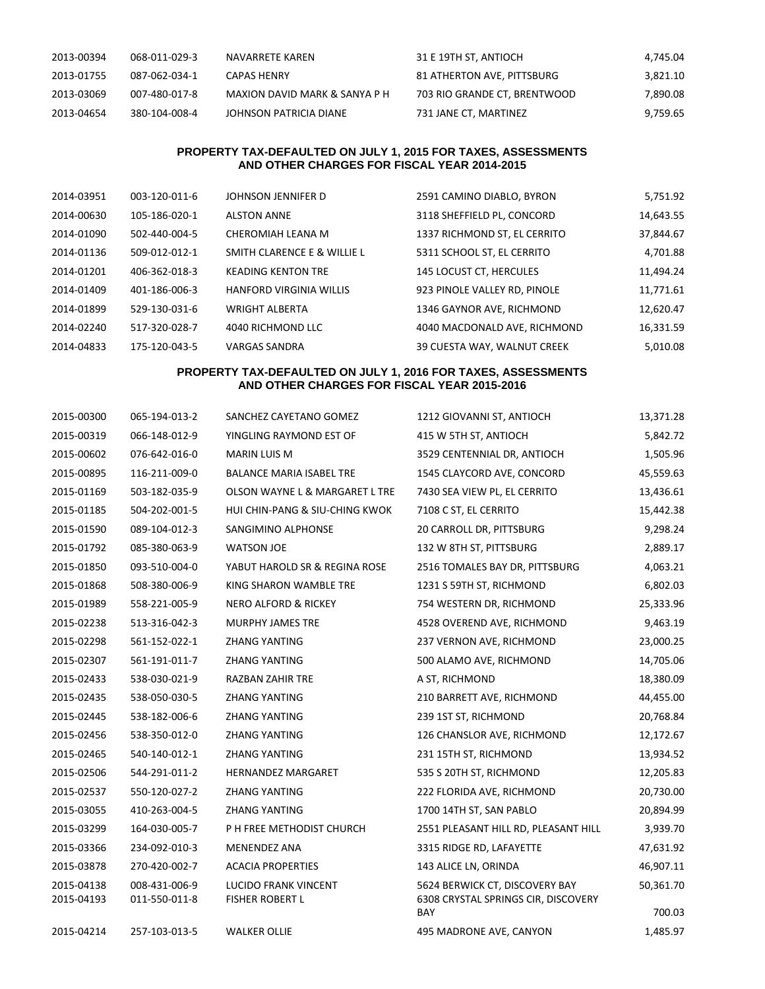| 2013-00394 | 068-011-029-3 | NAVARRETE KAREN               | 31 E 19TH ST. ANTIOCH        | 4.745.04 |
|------------|---------------|-------------------------------|------------------------------|----------|
| 2013-01755 | 087-062-034-1 | CAPAS HENRY                   | 81 ATHERTON AVE, PITTSBURG   | 3,821.10 |
| 2013-03069 | 007-480-017-8 | MAXION DAVID MARK & SANYA P H | 703 RIO GRANDE CT. BRENTWOOD | 7,890.08 |
| 2013-04654 | 380-104-008-4 | JOHNSON PATRICIA DIANE        | 731 JANE CT, MARTINEZ        | 9,759.65 |

# **PROPERTY TAX-DEFAULTED ON JULY 1, 2015 FOR TAXES, ASSESSMENTS AND OTHER CHARGES FOR FISCAL YEAR 2014-2015**

| 2014-03951 | 003-120-011-6 | JOHNSON JENNIFER D             | 2591 CAMINO DIABLO, BYRON    | 5,751.92  |
|------------|---------------|--------------------------------|------------------------------|-----------|
| 2014-00630 | 105-186-020-1 | <b>ALSTON ANNE</b>             | 3118 SHEFFIELD PL, CONCORD   | 14,643.55 |
| 2014-01090 | 502-440-004-5 | CHEROMIAH LEANA M              | 1337 RICHMOND ST, EL CERRITO | 37,844.67 |
| 2014-01136 | 509-012-012-1 | SMITH CLARENCE E & WILLIE L    | 5311 SCHOOL ST, EL CERRITO   | 4,701.88  |
| 2014-01201 | 406-362-018-3 | <b>KEADING KENTON TRE</b>      | 145 LOCUST CT, HERCULES      | 11,494.24 |
| 2014-01409 | 401-186-006-3 | <b>HANFORD VIRGINIA WILLIS</b> | 923 PINOLE VALLEY RD, PINOLE | 11,771.61 |
| 2014-01899 | 529-130-031-6 | <b>WRIGHT ALBERTA</b>          | 1346 GAYNOR AVE, RICHMOND    | 12,620.47 |
| 2014-02240 | 517-320-028-7 | 4040 RICHMOND LLC              | 4040 MACDONALD AVE, RICHMOND | 16,331.59 |
| 2014-04833 | 175-120-043-5 | <b>VARGAS SANDRA</b>           | 39 CUESTA WAY, WALNUT CREEK  | 5,010.08  |

## **PROPERTY TAX-DEFAULTED ON JULY 1, 2016 FOR TAXES, ASSESSMENTS AND OTHER CHARGES FOR FISCAL YEAR 2015-2016**

| 2015-00300 | 065-194-013-2 | SANCHEZ CAYETANO GOMEZ          | 1212 GIOVANNI ST, ANTIOCH            | 13,371.28 |
|------------|---------------|---------------------------------|--------------------------------------|-----------|
| 2015-00319 | 066-148-012-9 | YINGLING RAYMOND EST OF         | 415 W 5TH ST, ANTIOCH                | 5,842.72  |
| 2015-00602 | 076-642-016-0 | <b>MARIN LUIS M</b>             | 3529 CENTENNIAL DR, ANTIOCH          | 1,505.96  |
| 2015-00895 | 116-211-009-0 | <b>BALANCE MARIA ISABEL TRE</b> | 1545 CLAYCORD AVE, CONCORD           | 45,559.63 |
| 2015-01169 | 503-182-035-9 | OLSON WAYNE L & MARGARET L TRE  | 7430 SEA VIEW PL, EL CERRITO         | 13,436.61 |
| 2015-01185 | 504-202-001-5 | HUI CHIN-PANG & SIU-CHING KWOK  | 7108 C ST, EL CERRITO                | 15,442.38 |
| 2015-01590 | 089-104-012-3 | SANGIMINO ALPHONSE              | 20 CARROLL DR, PITTSBURG             | 9,298.24  |
| 2015-01792 | 085-380-063-9 | <b>WATSON JOE</b>               | 132 W 8TH ST, PITTSBURG              | 2,889.17  |
| 2015-01850 | 093-510-004-0 | YABUT HAROLD SR & REGINA ROSE   | 2516 TOMALES BAY DR, PITTSBURG       | 4,063.21  |
| 2015-01868 | 508-380-006-9 | KING SHARON WAMBLE TRE          | 1231 S 59TH ST, RICHMOND             | 6,802.03  |
| 2015-01989 | 558-221-005-9 | NERO ALFORD & RICKEY            | 754 WESTERN DR, RICHMOND             | 25,333.96 |
| 2015-02238 | 513-316-042-3 | <b>MURPHY JAMES TRE</b>         | 4528 OVEREND AVE, RICHMOND           | 9,463.19  |
| 2015-02298 | 561-152-022-1 | <b>ZHANG YANTING</b>            | 237 VERNON AVE, RICHMOND             | 23,000.25 |
| 2015-02307 | 561-191-011-7 | <b>ZHANG YANTING</b>            | 500 ALAMO AVE, RICHMOND              | 14,705.06 |
| 2015-02433 | 538-030-021-9 | <b>RAZBAN ZAHIR TRE</b>         | A ST, RICHMOND                       | 18,380.09 |
| 2015-02435 | 538-050-030-5 | <b>ZHANG YANTING</b>            | 210 BARRETT AVE, RICHMOND            | 44,455.00 |
| 2015-02445 | 538-182-006-6 | <b>ZHANG YANTING</b>            | 239 1ST ST, RICHMOND                 | 20,768.84 |
| 2015-02456 | 538-350-012-0 | <b>ZHANG YANTING</b>            | 126 CHANSLOR AVE, RICHMOND           | 12,172.67 |
| 2015-02465 | 540-140-012-1 | <b>ZHANG YANTING</b>            | 231 15TH ST, RICHMOND                | 13,934.52 |
| 2015-02506 | 544-291-011-2 | <b>HERNANDEZ MARGARET</b>       | 535 S 20TH ST, RICHMOND              | 12,205.83 |
| 2015-02537 | 550-120-027-2 | <b>ZHANG YANTING</b>            | 222 FLORIDA AVE, RICHMOND            | 20,730.00 |
| 2015-03055 | 410-263-004-5 | ZHANG YANTING                   | 1700 14TH ST, SAN PABLO              | 20,894.99 |
| 2015-03299 | 164-030-005-7 | P H FREE METHODIST CHURCH       | 2551 PLEASANT HILL RD, PLEASANT HILL | 3,939.70  |
| 2015-03366 | 234-092-010-3 | <b>MENENDEZ ANA</b>             | 3315 RIDGE RD, LAFAYETTE             | 47,631.92 |
| 2015-03878 | 270-420-002-7 | <b>ACACIA PROPERTIES</b>        | 143 ALICE LN, ORINDA                 | 46,907.11 |
| 2015-04138 | 008-431-006-9 | <b>LUCIDO FRANK VINCENT</b>     | 5624 BERWICK CT, DISCOVERY BAY       | 50,361.70 |
| 2015-04193 | 011-550-011-8 | <b>FISHER ROBERT L</b>          | 6308 CRYSTAL SPRINGS CIR, DISCOVERY  |           |
|            |               |                                 | BAY                                  | 700.03    |
| 2015-04214 | 257-103-013-5 | <b>WALKER OLLIE</b>             | 495 MADRONE AVE, CANYON              | 1,485.97  |